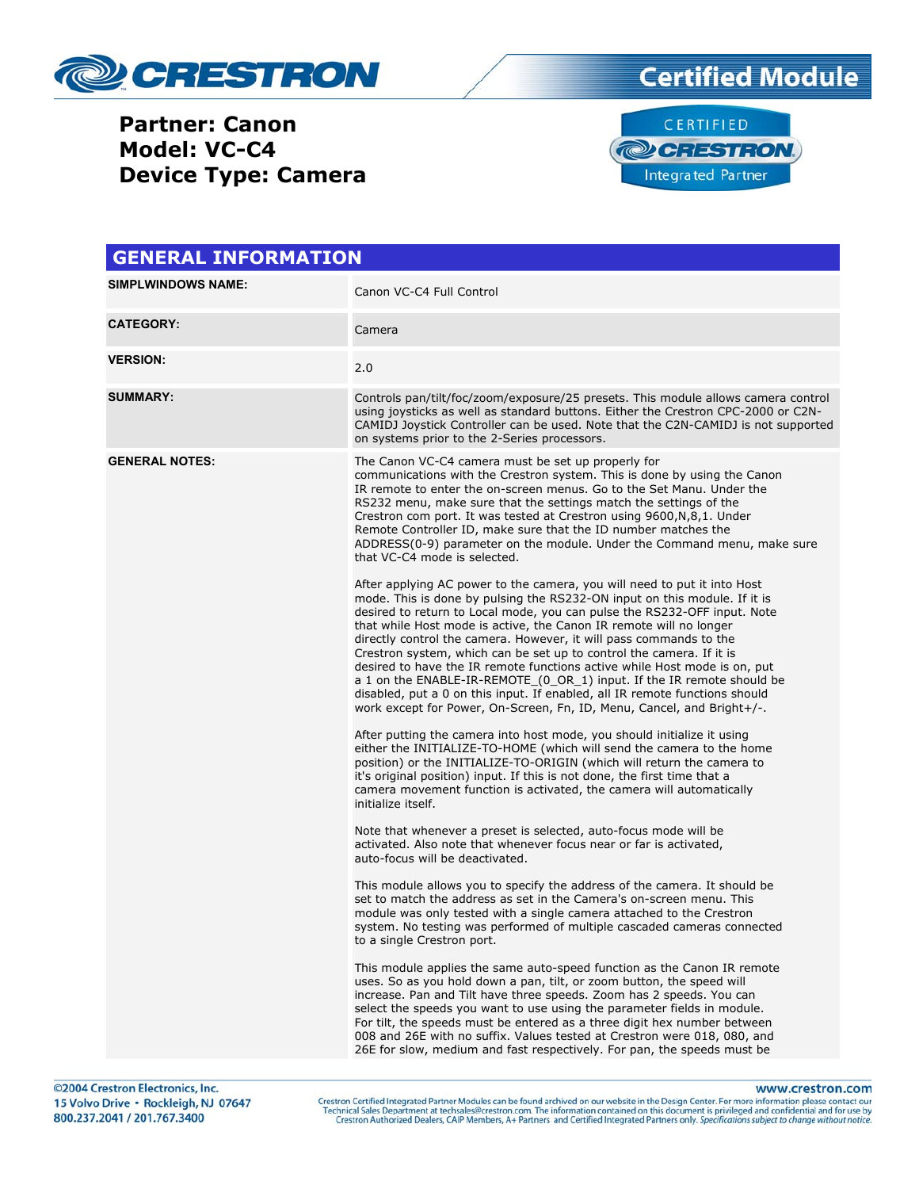





| <b>SIMPLWINDOWS NAME:</b><br>Canon VC-C4 Full Control                     |                                                                                                                                                                                                                                                                                                                                                                                                                                                                                                                                                                                                                                                                                                                                                                                                                                                                                                                                                                                                                                                                                                                                                                                                                                                                                                                                                                                                                                                                                                                                                                                                                                                                                                                                                                                                                                                                                                                                                                                                                                                                                                                                                                                                                                                                                                                                                                                                                                                                                                                                                                                                                                                      |
|---------------------------------------------------------------------------|------------------------------------------------------------------------------------------------------------------------------------------------------------------------------------------------------------------------------------------------------------------------------------------------------------------------------------------------------------------------------------------------------------------------------------------------------------------------------------------------------------------------------------------------------------------------------------------------------------------------------------------------------------------------------------------------------------------------------------------------------------------------------------------------------------------------------------------------------------------------------------------------------------------------------------------------------------------------------------------------------------------------------------------------------------------------------------------------------------------------------------------------------------------------------------------------------------------------------------------------------------------------------------------------------------------------------------------------------------------------------------------------------------------------------------------------------------------------------------------------------------------------------------------------------------------------------------------------------------------------------------------------------------------------------------------------------------------------------------------------------------------------------------------------------------------------------------------------------------------------------------------------------------------------------------------------------------------------------------------------------------------------------------------------------------------------------------------------------------------------------------------------------------------------------------------------------------------------------------------------------------------------------------------------------------------------------------------------------------------------------------------------------------------------------------------------------------------------------------------------------------------------------------------------------------------------------------------------------------------------------------------------------|
|                                                                           |                                                                                                                                                                                                                                                                                                                                                                                                                                                                                                                                                                                                                                                                                                                                                                                                                                                                                                                                                                                                                                                                                                                                                                                                                                                                                                                                                                                                                                                                                                                                                                                                                                                                                                                                                                                                                                                                                                                                                                                                                                                                                                                                                                                                                                                                                                                                                                                                                                                                                                                                                                                                                                                      |
| <b>CATEGORY:</b><br>Camera                                                |                                                                                                                                                                                                                                                                                                                                                                                                                                                                                                                                                                                                                                                                                                                                                                                                                                                                                                                                                                                                                                                                                                                                                                                                                                                                                                                                                                                                                                                                                                                                                                                                                                                                                                                                                                                                                                                                                                                                                                                                                                                                                                                                                                                                                                                                                                                                                                                                                                                                                                                                                                                                                                                      |
| <b>VERSION:</b><br>2.0                                                    |                                                                                                                                                                                                                                                                                                                                                                                                                                                                                                                                                                                                                                                                                                                                                                                                                                                                                                                                                                                                                                                                                                                                                                                                                                                                                                                                                                                                                                                                                                                                                                                                                                                                                                                                                                                                                                                                                                                                                                                                                                                                                                                                                                                                                                                                                                                                                                                                                                                                                                                                                                                                                                                      |
| <b>SUMMARY:</b>                                                           | Controls pan/tilt/foc/zoom/exposure/25 presets. This module allows camera control<br>using joysticks as well as standard buttons. Either the Crestron CPC-2000 or C2N-<br>CAMIDJ Joystick Controller can be used. Note that the C2N-CAMIDJ is not supported<br>on systems prior to the 2-Series processors.                                                                                                                                                                                                                                                                                                                                                                                                                                                                                                                                                                                                                                                                                                                                                                                                                                                                                                                                                                                                                                                                                                                                                                                                                                                                                                                                                                                                                                                                                                                                                                                                                                                                                                                                                                                                                                                                                                                                                                                                                                                                                                                                                                                                                                                                                                                                          |
| <b>GENERAL NOTES:</b><br>initialize itself.<br>to a single Crestron port. | The Canon VC-C4 camera must be set up properly for<br>communications with the Crestron system. This is done by using the Canon<br>IR remote to enter the on-screen menus. Go to the Set Manu. Under the<br>RS232 menu, make sure that the settings match the settings of the<br>Crestron com port. It was tested at Crestron using 9600, N, 8, 1. Under<br>Remote Controller ID, make sure that the ID number matches the<br>ADDRESS(0-9) parameter on the module. Under the Command menu, make sure<br>that VC-C4 mode is selected.<br>After applying AC power to the camera, you will need to put it into Host<br>mode. This is done by pulsing the RS232-ON input on this module. If it is<br>desired to return to Local mode, you can pulse the RS232-OFF input. Note<br>that while Host mode is active, the Canon IR remote will no longer<br>directly control the camera. However, it will pass commands to the<br>Crestron system, which can be set up to control the camera. If it is<br>desired to have the IR remote functions active while Host mode is on, put<br>a 1 on the ENABLE-IR-REMOTE (0 OR 1) input. If the IR remote should be<br>disabled, put a 0 on this input. If enabled, all IR remote functions should<br>work except for Power, On-Screen, Fn, ID, Menu, Cancel, and Bright+/-.<br>After putting the camera into host mode, you should initialize it using<br>either the INITIALIZE-TO-HOME (which will send the camera to the home<br>position) or the INITIALIZE-TO-ORIGIN (which will return the camera to<br>it's original position) input. If this is not done, the first time that a<br>camera movement function is activated, the camera will automatically<br>Note that whenever a preset is selected, auto-focus mode will be<br>activated. Also note that whenever focus near or far is activated,<br>auto-focus will be deactivated.<br>This module allows you to specify the address of the camera. It should be<br>set to match the address as set in the Camera's on-screen menu. This<br>module was only tested with a single camera attached to the Crestron<br>system. No testing was performed of multiple cascaded cameras connected<br>This module applies the same auto-speed function as the Canon IR remote<br>uses. So as you hold down a pan, tilt, or zoom button, the speed will<br>increase. Pan and Tilt have three speeds. Zoom has 2 speeds. You can<br>select the speeds you want to use using the parameter fields in module.<br>For tilt, the speeds must be entered as a three digit hex number between<br>008 and 26E with no suffix. Values tested at Crestron were 018, 080, and |

www.crestron.com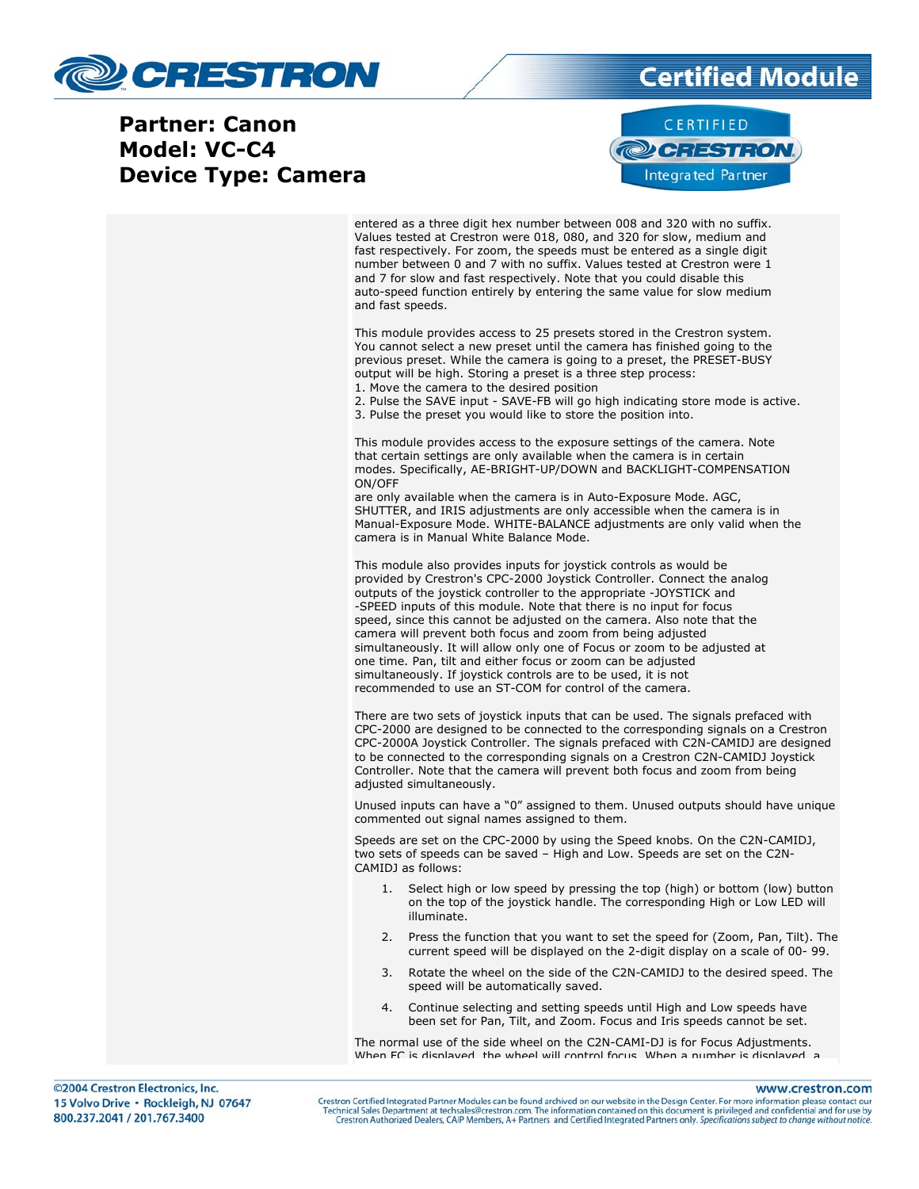



entered as a three digit hex number between 008 and 320 with no suffix. Values tested at Crestron were 018, 080, and 320 for slow, medium and fast respectively. For zoom, the speeds must be entered as a single digit number between 0 and 7 with no suffix. Values tested at Crestron were 1 and 7 for slow and fast respectively. Note that you could disable this auto-speed function entirely by entering the same value for slow medium and fast speeds.

This module provides access to 25 presets stored in the Crestron system. You cannot select a new preset until the camera has finished going to the previous preset. While the camera is going to a preset, the PRESET-BUSY output will be high. Storing a preset is a three step process: 1. Move the camera to the desired position

2. Pulse the SAVE input - SAVE-FB will go high indicating store mode is active. 3. Pulse the preset you would like to store the position into.

This module provides access to the exposure settings of the camera. Note that certain settings are only available when the camera is in certain modes. Specifically, AE-BRIGHT-UP/DOWN and BACKLIGHT-COMPENSATION ON/OFF

are only available when the camera is in Auto-Exposure Mode. AGC, SHUTTER, and IRIS adjustments are only accessible when the camera is in Manual-Exposure Mode. WHITE-BALANCE adjustments are only valid when the camera is in Manual White Balance Mode.

This module also provides inputs for joystick controls as would be provided by Crestron's CPC-2000 Joystick Controller. Connect the analog outputs of the joystick controller to the appropriate -JOYSTICK and -SPEED inputs of this module. Note that there is no input for focus speed, since this cannot be adjusted on the camera. Also note that the camera will prevent both focus and zoom from being adjusted simultaneously. It will allow only one of Focus or zoom to be adjusted at one time. Pan, tilt and either focus or zoom can be adjusted simultaneously. If joystick controls are to be used, it is not recommended to use an ST-COM for control of the camera.

There are two sets of joystick inputs that can be used. The signals prefaced with CPC-2000 are designed to be connected to the corresponding signals on a Crestron CPC-2000A Joystick Controller. The signals prefaced with C2N-CAMIDJ are designed to be connected to the corresponding signals on a Crestron C2N-CAMIDJ Joystick Controller. Note that the camera will prevent both focus and zoom from being adjusted simultaneously.

Unused inputs can have a "0" assigned to them. Unused outputs should have unique commented out signal names assigned to them.

Speeds are set on the CPC-2000 by using the Speed knobs. On the C2N-CAMIDJ, two sets of speeds can be saved – High and Low. Speeds are set on the C2N-CAMIDJ as follows:

- 1. Select high or low speed by pressing the top (high) or bottom (low) button on the top of the joystick handle. The corresponding High or Low LED will illuminate.
- 2. Press the function that you want to set the speed for (Zoom, Pan, Tilt). The current speed will be displayed on the 2-digit display on a scale of 00- 99.
- 3. Rotate the wheel on the side of the C2N-CAMIDJ to the desired speed. The speed will be automatically saved.
- 4. Continue selecting and setting speeds until High and Low speeds have been set for Pan, Tilt, and Zoom. Focus and Iris speeds cannot be set.

The normal use of the side wheel on the C2N-CAMI-DJ is for Focus Adjustments. When FC is displayed the wheel will control focus When a number is displayed a

www.crestron.com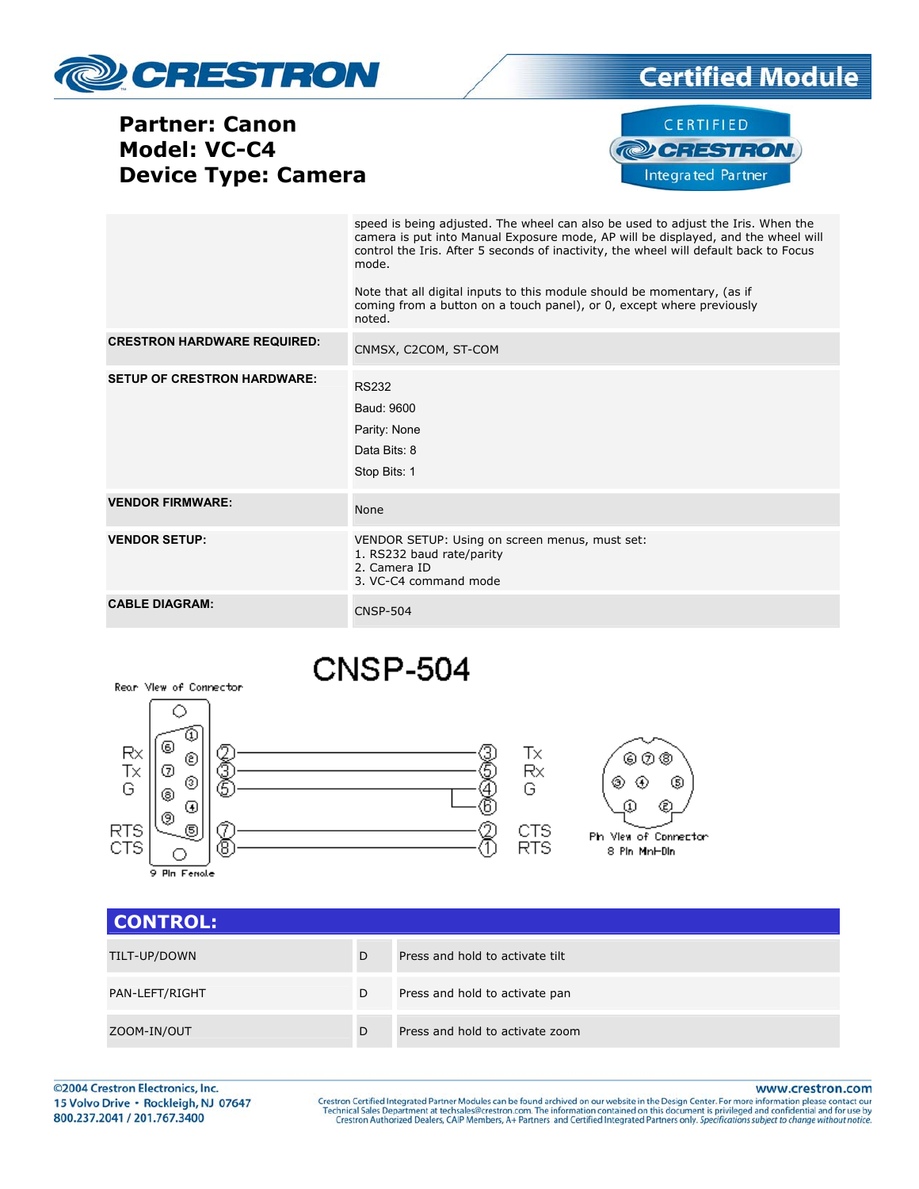

## **Certified Module**

**Partner: Canon** Model: VC-C4 **Device Type: Camera** 



|                                    | speed is being adjusted. The wheel can also be used to adjust the Iris. When the<br>camera is put into Manual Exposure mode, AP will be displayed, and the wheel will<br>control the Iris. After 5 seconds of inactivity, the wheel will default back to Focus<br>mode.<br>Note that all digital inputs to this module should be momentary, (as if<br>coming from a button on a touch panel), or 0, except where previously<br>noted. |
|------------------------------------|---------------------------------------------------------------------------------------------------------------------------------------------------------------------------------------------------------------------------------------------------------------------------------------------------------------------------------------------------------------------------------------------------------------------------------------|
| <b>CRESTRON HARDWARE REQUIRED:</b> | CNMSX, C2COM, ST-COM                                                                                                                                                                                                                                                                                                                                                                                                                  |
| <b>SETUP OF CRESTRON HARDWARE:</b> | <b>RS232</b><br>Baud: 9600<br>Parity: None<br>Data Bits: 8<br>Stop Bits: 1                                                                                                                                                                                                                                                                                                                                                            |
| <b>VENDOR FIRMWARE:</b>            | None                                                                                                                                                                                                                                                                                                                                                                                                                                  |
| <b>VENDOR SETUP:</b>               | VENDOR SETUP: Using on screen menus, must set:<br>1. RS232 baud rate/parity<br>2. Camera ID<br>3. VC-C4 command mode                                                                                                                                                                                                                                                                                                                  |
| <b>CABLE DIAGRAM:</b>              | <b>CNSP-504</b>                                                                                                                                                                                                                                                                                                                                                                                                                       |

# **CNSP-504**



| <b>CONTROL:</b> |   |                                 |
|-----------------|---|---------------------------------|
| TILT-UP/DOWN    | D | Press and hold to activate tilt |
| PAN-LEFT/RIGHT  | D | Press and hold to activate pan  |
| ZOOM-IN/OUT     | D | Press and hold to activate zoom |

©2004 Crestron Electronics, Inc. 15 Volvo Drive · Rockleigh, NJ 07647 800.237.2041 / 201.767.3400

Rear View of Connector

www.crestron.com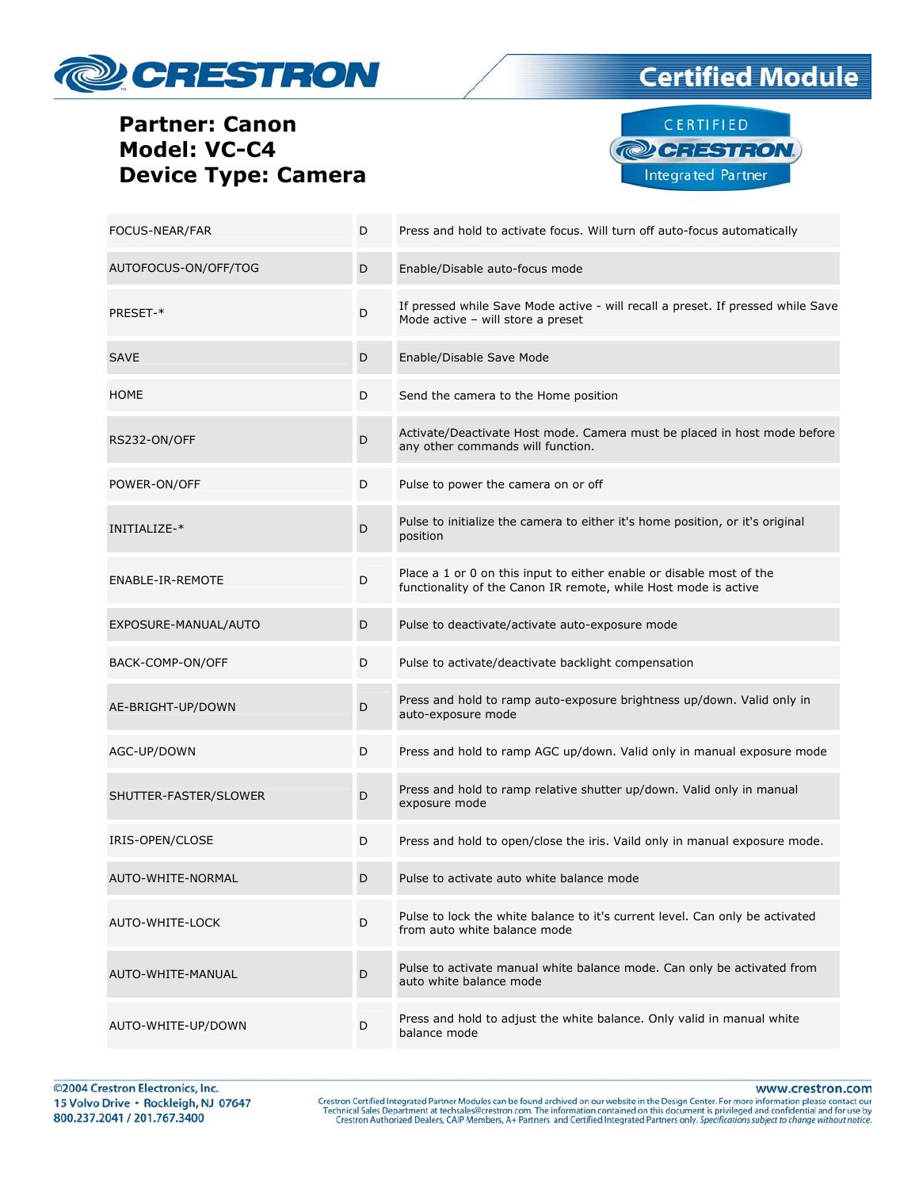





| FOCUS-NEAR/FAR        | D | Press and hold to activate focus. Will turn off auto-focus automatically                                                                |
|-----------------------|---|-----------------------------------------------------------------------------------------------------------------------------------------|
| AUTOFOCUS-ON/OFF/TOG  | D | Enable/Disable auto-focus mode                                                                                                          |
| PRESET-*              | D | If pressed while Save Mode active - will recall a preset. If pressed while Save<br>Mode active - will store a preset                    |
| <b>SAVE</b>           | D | Enable/Disable Save Mode                                                                                                                |
| <b>HOME</b>           | D | Send the camera to the Home position                                                                                                    |
| RS232-ON/OFF          | D | Activate/Deactivate Host mode. Camera must be placed in host mode before<br>any other commands will function.                           |
| POWER-ON/OFF          | D | Pulse to power the camera on or off                                                                                                     |
| INITIALIZE-*          | D | Pulse to initialize the camera to either it's home position, or it's original<br>position                                               |
| ENABLE-IR-REMOTE      | D | Place a 1 or 0 on this input to either enable or disable most of the<br>functionality of the Canon IR remote, while Host mode is active |
| EXPOSURE-MANUAL/AUTO  | D | Pulse to deactivate/activate auto-exposure mode                                                                                         |
| BACK-COMP-ON/OFF      | D | Pulse to activate/deactivate backlight compensation                                                                                     |
| AE-BRIGHT-UP/DOWN     | D | Press and hold to ramp auto-exposure brightness up/down. Valid only in<br>auto-exposure mode                                            |
| AGC-UP/DOWN           | D | Press and hold to ramp AGC up/down. Valid only in manual exposure mode                                                                  |
| SHUTTER-FASTER/SLOWER | D | Press and hold to ramp relative shutter up/down. Valid only in manual<br>exposure mode                                                  |
| IRIS-OPEN/CLOSE       | D | Press and hold to open/close the iris. Vaild only in manual exposure mode.                                                              |
| AUTO-WHITE-NORMAL     | D | Pulse to activate auto white balance mode                                                                                               |
| AUTO-WHITE-LOCK       | D | Pulse to lock the white balance to it's current level. Can only be activated<br>from auto white balance mode                            |
| AUTO-WHITE-MANUAL     | D | Pulse to activate manual white balance mode. Can only be activated from<br>auto white balance mode                                      |
| AUTO-WHITE-UP/DOWN    | D | Press and hold to adjust the white balance. Only valid in manual white<br>balance mode                                                  |

www.crestron.com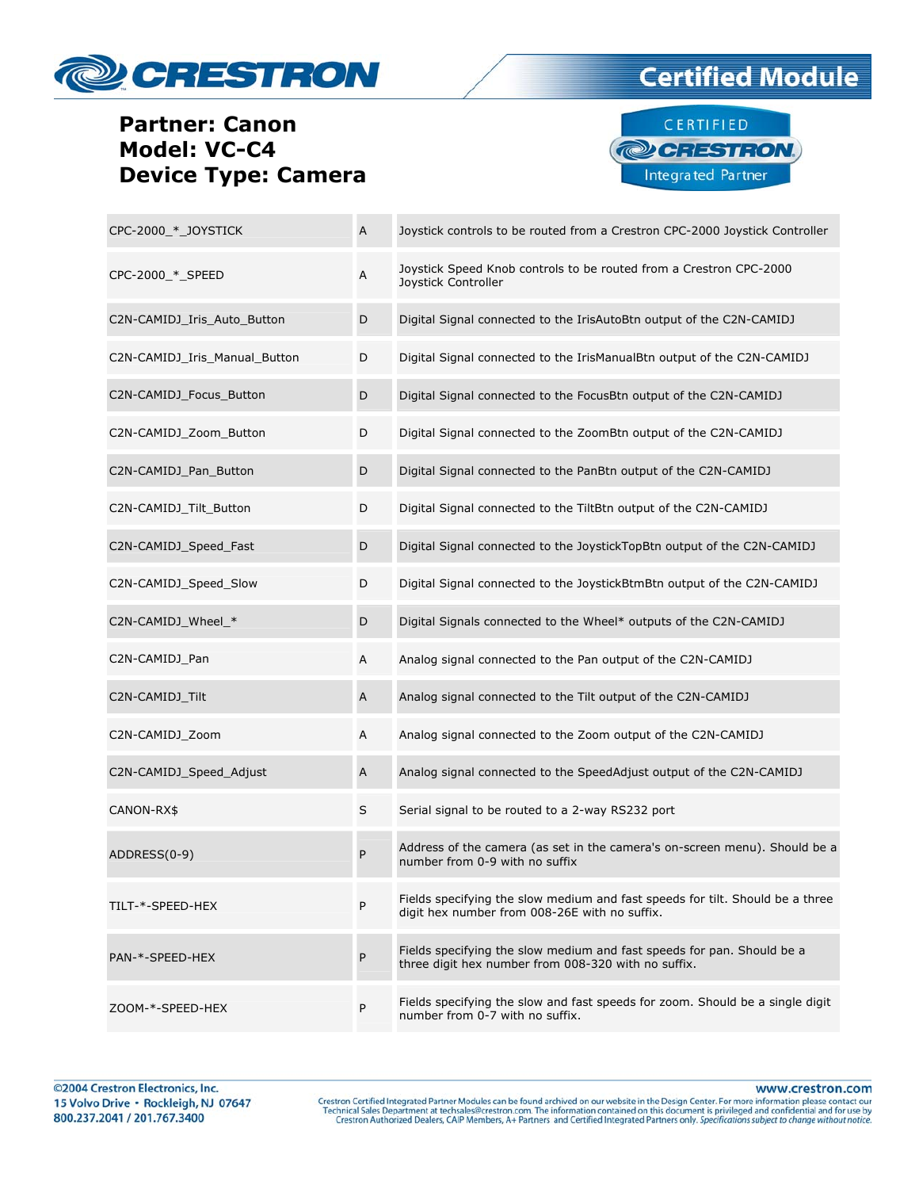





| CPC-2000 * JOYSTICK           | A         | Joystick controls to be routed from a Crestron CPC-2000 Joystick Controller                                                    |
|-------------------------------|-----------|--------------------------------------------------------------------------------------------------------------------------------|
| CPC-2000 * SPEED              | Α         | Joystick Speed Knob controls to be routed from a Crestron CPC-2000<br>Joystick Controller                                      |
| C2N-CAMIDJ Iris Auto Button   | D         | Digital Signal connected to the IrisAutoBtn output of the C2N-CAMIDJ                                                           |
| C2N-CAMIDJ Iris Manual Button | D         | Digital Signal connected to the IrisManualBtn output of the C2N-CAMIDJ                                                         |
| C2N-CAMIDJ Focus Button       | D         | Digital Signal connected to the FocusBtn output of the C2N-CAMIDJ                                                              |
| C2N-CAMIDJ_Zoom_Button        | D         | Digital Signal connected to the ZoomBtn output of the C2N-CAMIDJ                                                               |
| C2N-CAMIDJ_Pan_Button         | D         | Digital Signal connected to the PanBtn output of the C2N-CAMIDJ                                                                |
| C2N-CAMIDJ_Tilt_Button        | D         | Digital Signal connected to the TiltBtn output of the C2N-CAMIDJ                                                               |
| C2N-CAMIDJ Speed Fast         | D         | Digital Signal connected to the JoystickTopBtn output of the C2N-CAMIDJ                                                        |
| C2N-CAMIDJ_Speed_Slow         | D         | Digital Signal connected to the JoystickBtmBtn output of the C2N-CAMIDJ                                                        |
| C2N-CAMIDJ_Wheel_*            | D         | Digital Signals connected to the Wheel* outputs of the C2N-CAMIDJ                                                              |
| C2N-CAMIDJ_Pan                | Α         | Analog signal connected to the Pan output of the C2N-CAMIDJ                                                                    |
| C2N-CAMIDJ_Tilt               | Α         | Analog signal connected to the Tilt output of the C2N-CAMIDJ                                                                   |
| C2N-CAMIDJ Zoom               | Α         | Analog signal connected to the Zoom output of the C2N-CAMIDJ                                                                   |
| C2N-CAMIDJ Speed Adjust       | A         | Analog signal connected to the SpeedAdjust output of the C2N-CAMIDJ                                                            |
| CANON-RX\$                    | S         | Serial signal to be routed to a 2-way RS232 port                                                                               |
| ADDRESS(0-9)                  | P         | Address of the camera (as set in the camera's on-screen menu). Should be a<br>number from 0-9 with no suffix                   |
| TILT-*-SPEED-HEX              | P         | Fields specifying the slow medium and fast speeds for tilt. Should be a three<br>digit hex number from 008-26E with no suffix. |
| PAN-*-SPEED-HEX               | P         | Fields specifying the slow medium and fast speeds for pan. Should be a<br>three digit hex number from 008-320 with no suffix.  |
| ZOOM-*-SPEED-HEX              | ${\sf P}$ | Fields specifying the slow and fast speeds for zoom. Should be a single digit<br>number from 0-7 with no suffix.               |

www.crestron.com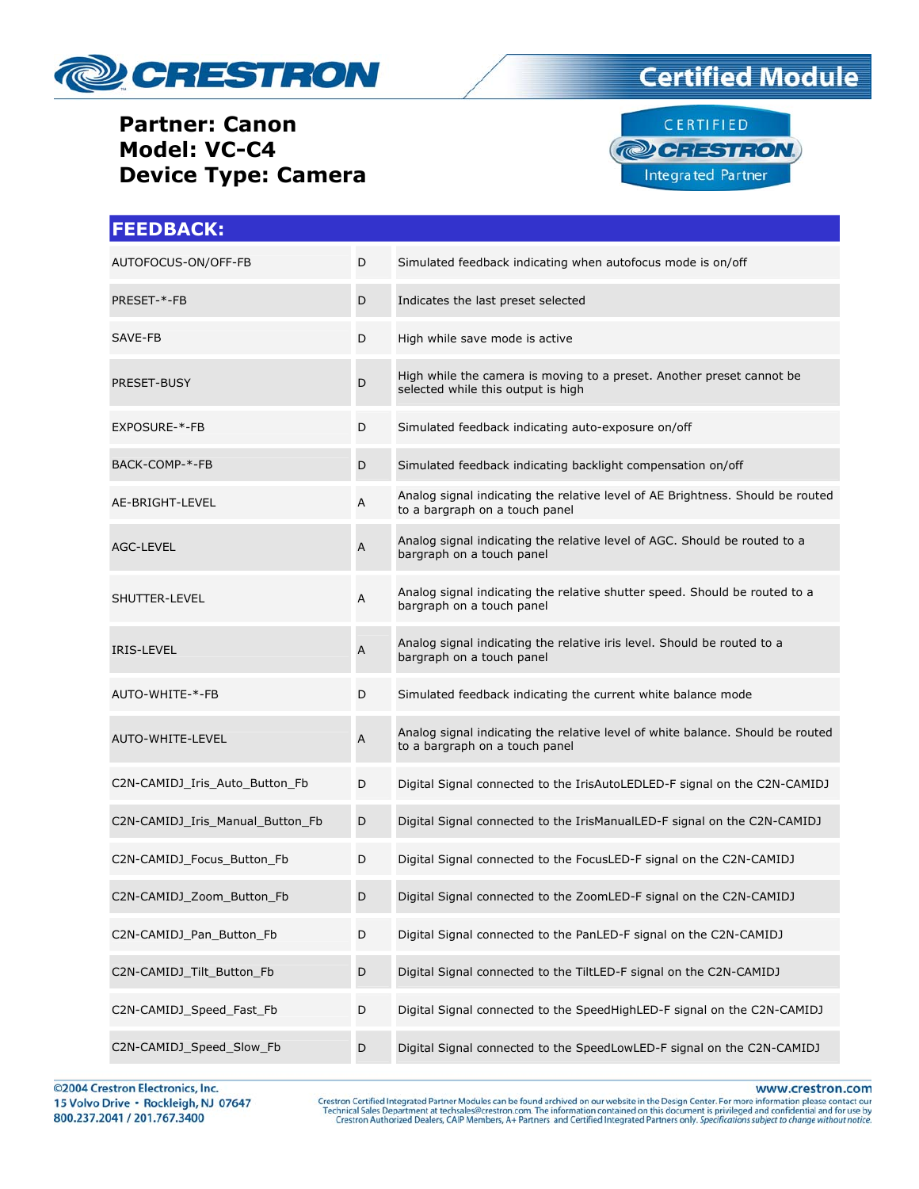

## **Certified Module**



| <b>FEEDBACK:</b>                 |             |                                                                                                                  |
|----------------------------------|-------------|------------------------------------------------------------------------------------------------------------------|
| AUTOFOCUS-ON/OFF-FB              | D           | Simulated feedback indicating when autofocus mode is on/off                                                      |
| PRESET-*-FB                      | D           | Indicates the last preset selected                                                                               |
| SAVE-FB                          | D           | High while save mode is active                                                                                   |
| PRESET-BUSY                      | D           | High while the camera is moving to a preset. Another preset cannot be<br>selected while this output is high      |
| EXPOSURE-*-FB                    | D           | Simulated feedback indicating auto-exposure on/off                                                               |
| BACK-COMP-*-FB                   | D           | Simulated feedback indicating backlight compensation on/off                                                      |
| AE-BRIGHT-LEVEL                  | Α           | Analog signal indicating the relative level of AE Brightness. Should be routed<br>to a bargraph on a touch panel |
| <b>AGC-LEVEL</b>                 | Α           | Analog signal indicating the relative level of AGC. Should be routed to a<br>bargraph on a touch panel           |
| SHUTTER-LEVEL                    | Α           | Analog signal indicating the relative shutter speed. Should be routed to a<br>bargraph on a touch panel          |
| <b>IRIS-LEVEL</b>                | A           | Analog signal indicating the relative iris level. Should be routed to a<br>bargraph on a touch panel             |
| AUTO-WHITE-*-FB                  | D           | Simulated feedback indicating the current white balance mode                                                     |
| AUTO-WHITE-LEVEL                 | A           | Analog signal indicating the relative level of white balance. Should be routed<br>to a bargraph on a touch panel |
| C2N-CAMIDJ Iris Auto Button Fb   | D           | Digital Signal connected to the IrisAutoLEDLED-F signal on the C2N-CAMIDJ                                        |
| C2N-CAMIDJ Iris Manual Button Fb | D           | Digital Signal connected to the IrisManualLED-F signal on the C2N-CAMIDJ                                         |
| C2N-CAMIDJ_Focus_Button_Fb       | D           | Digital Signal connected to the FocusLED-F signal on the C2N-CAMIDJ                                              |
| C2N-CAMIDJ_Zoom_Button_Fb        | D           | Digital Signal connected to the ZoomLED-F signal on the C2N-CAMIDJ                                               |
| C2N-CAMIDJ Pan Button Fb         | D           | Digital Signal connected to the PanLED-F signal on the C2N-CAMIDJ                                                |
| C2N-CAMIDJ Tilt Button Fb        | D           | Digital Signal connected to the TiltLED-F signal on the C2N-CAMIDJ                                               |
| C2N-CAMIDJ_Speed_Fast_Fb         | D           | Digital Signal connected to the SpeedHighLED-F signal on the C2N-CAMIDJ                                          |
| C2N-CAMIDJ Speed Slow Fb         | $\mathsf D$ | Digital Signal connected to the SpeedLowLED-F signal on the C2N-CAMIDJ                                           |

©2004 Crestron Electronics, Inc. 15 Volvo Drive · Rockleigh, NJ 07647 800.237.2041 / 201.767.3400

www.crestron.com